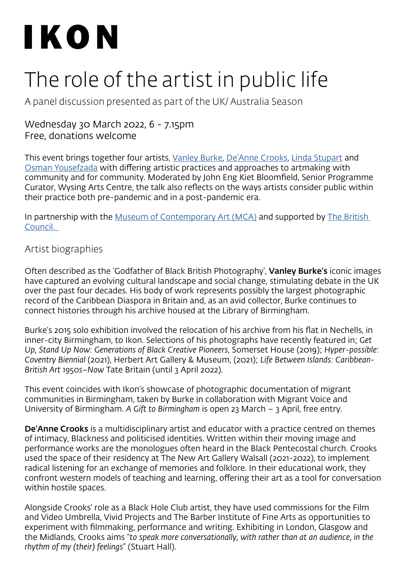# IKON

## The role of the artist in public life

A panel discussion presented as part of the UK/ Australia Season

#### Wednesday 30 March 2022, 6 - 7.15pm Free, donations welcome

This event brings together four artists, [Vanley Burke,](http://www.vanley.co.uk/) [De'Anne Crooks](https://deannecrooks.com/), [Linda Stupart](http://lindastupart.net/) and [Osman Yousefzada](https://osmanstudio.com/) with differing artistic practices and approaches to artmaking with community and for community. Moderated by John Eng Kiet Bloomfield, Senior Programme Curator, Wysing Arts Centre, the talk also reflects on the ways artists consider public within their practice both pre-pandemic and in a post-pandemic era.

In partnership with the [Museum of Contemporary Art \(MCA\)](https://www.mca.com.au/) and supported by The British [Council.](https://www.britishcouncil.org/) 

### Artist biographies

Often described as the 'Godfather of Black British Photography', Vanley Burke's iconic images have captured an evolving cultural landscape and social change, stimulating debate in the UK over the past four decades. His body of work represents possibly the largest photographic record of the Caribbean Diaspora in Britain and, as an avid collector, Burke continues to connect histories through his archive housed at the Library of Birmingham.

Burke's 2015 solo exhibition involved the relocation of his archive from his flat in Nechells, in inner-city Birmingham, to Ikon. Selections of his photographs have recently featured in; *Get Up, Stand Up Now: Generations of Black Creative Pioneers*, Somerset House (2019); *Hyper-possible: Coventry Biennial* (2021), Herbert Art Gallery & Museum, (2021); *Life Between Islands: Caribbean-British Art 1950s–Now* Tate Britain (until 3 April 2022).

This event coincides with Ikon's showcase of photographic documentation of migrant communities in Birmingham, taken by Burke in collaboration with Migrant Voice and University of Birmingham. *A Gift to Birmingham* is open 23 March – 3 April, free entry.

De'Anne Crooks is a multidisciplinary artist and educator with a practice centred on themes of intimacy, Blackness and politicised identities. Written within their moving image and performance works are the monologues often heard in the Black Pentecostal church. Crooks used the space of their residency at The New Art Gallery Walsall (2021-2022), to implement radical listening for an exchange of memories and folklore. In their educational work, they confront western models of teaching and learning, offering their art as a tool for conversation within hostile spaces.

Alongside Crooks' role as a Black Hole Club artist, they have used commissions for the Film and Video Umbrella, Vivid Projects and The Barber Institute of Fine Arts as opportunities to experiment with filmmaking, performance and writing. Exhibiting in London, Glasgow and the Midlands, Crooks aims "*to speak more conversationally, with rather than at an audience, in the rhythm of my (their) feelings*" (Stuart Hall).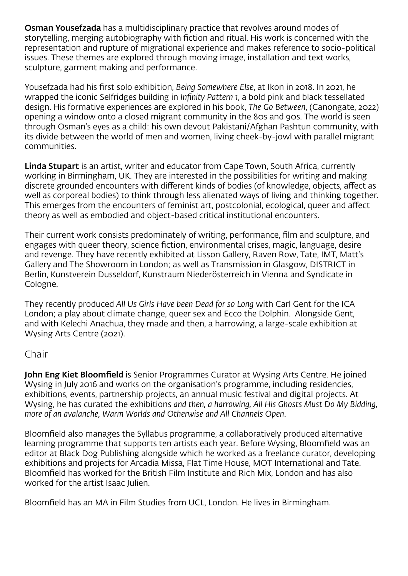Osman Yousefzada has a multidisciplinary practice that revolves around modes of storytelling, merging autobiography with fiction and ritual. His work is concerned with the representation and rupture of migrational experience and makes reference to socio-political issues. These themes are explored through moving image, installation and text works, sculpture, garment making and performance.

Yousefzada had his first solo exhibition, *Being Somewhere Else*, at Ikon in 2018. In 2021, he wrapped the iconic Selfridges building in *Infinity Pattern 1*, a bold pink and black tessellated design. His formative experiences are explored in his book, *The Go Between*, (Canongate, 2022) opening a window onto a closed migrant community in the 80s and 90s. The world is seen through Osman's eyes as a child: his own devout Pakistani/Afghan Pashtun community, with its divide between the world of men and women, living cheek-by-jowl with parallel migrant communities.

Linda Stupart is an artist, writer and educator from Cape Town, South Africa, currently working in Birmingham, UK. They are interested in the possibilities for writing and making discrete grounded encounters with different kinds of bodies (of knowledge, objects, affect as well as corporeal bodies) to think through less alienated ways of living and thinking together. This emerges from the encounters of feminist art, postcolonial, ecological, queer and affect theory as well as embodied and object-based critical institutional encounters.

Their current work consists predominately of writing, performance, film and sculpture, and engages with queer theory, science fiction, environmental crises, magic, language, desire and revenge. They have recently exhibited at Lisson Gallery, Raven Row, Tate, IMT, Matt's Gallery and The Showroom in London; as well as Transmission in Glasgow, DISTRICT in Berlin, Kunstverein Dusseldorf, Kunstraum Niederösterreich in Vienna and Syndicate in Cologne.

They recently produced *All Us Girls Have been Dead for so Long* with Carl Gent for the ICA London; a play about climate change, queer sex and Ecco the Dolphin. Alongside Gent, and with Kelechi Anachua, they made and then, a harrowing, a large-scale exhibition at Wysing Arts Centre (2021).

#### Chair

John Eng Kiet Bloomfield is Senior Programmes Curator at Wysing Arts Centre. He joined Wysing in July 2016 and works on the organisation's programme, including residencies, exhibitions, events, partnership projects, an annual music festival and digital projects. At Wysing, he has curated the exhibitions *and then, a harrowing, All His Ghosts Must Do My Bidding, more of an avalanche, Warm Worlds and Otherwise and All Channels Open*.

Bloomfield also manages the Syllabus programme, a collaboratively produced alternative learning programme that supports ten artists each year. Before Wysing, Bloomfield was an editor at Black Dog Publishing alongside which he worked as a freelance curator, developing exhibitions and projects for Arcadia Missa, Flat Time House, MOT International and Tate. Bloomfield has worked for the British Film Institute and Rich Mix, London and has also worked for the artist Isaac Julien.

Bloomfield has an MA in Film Studies from UCL, London. He lives in Birmingham.